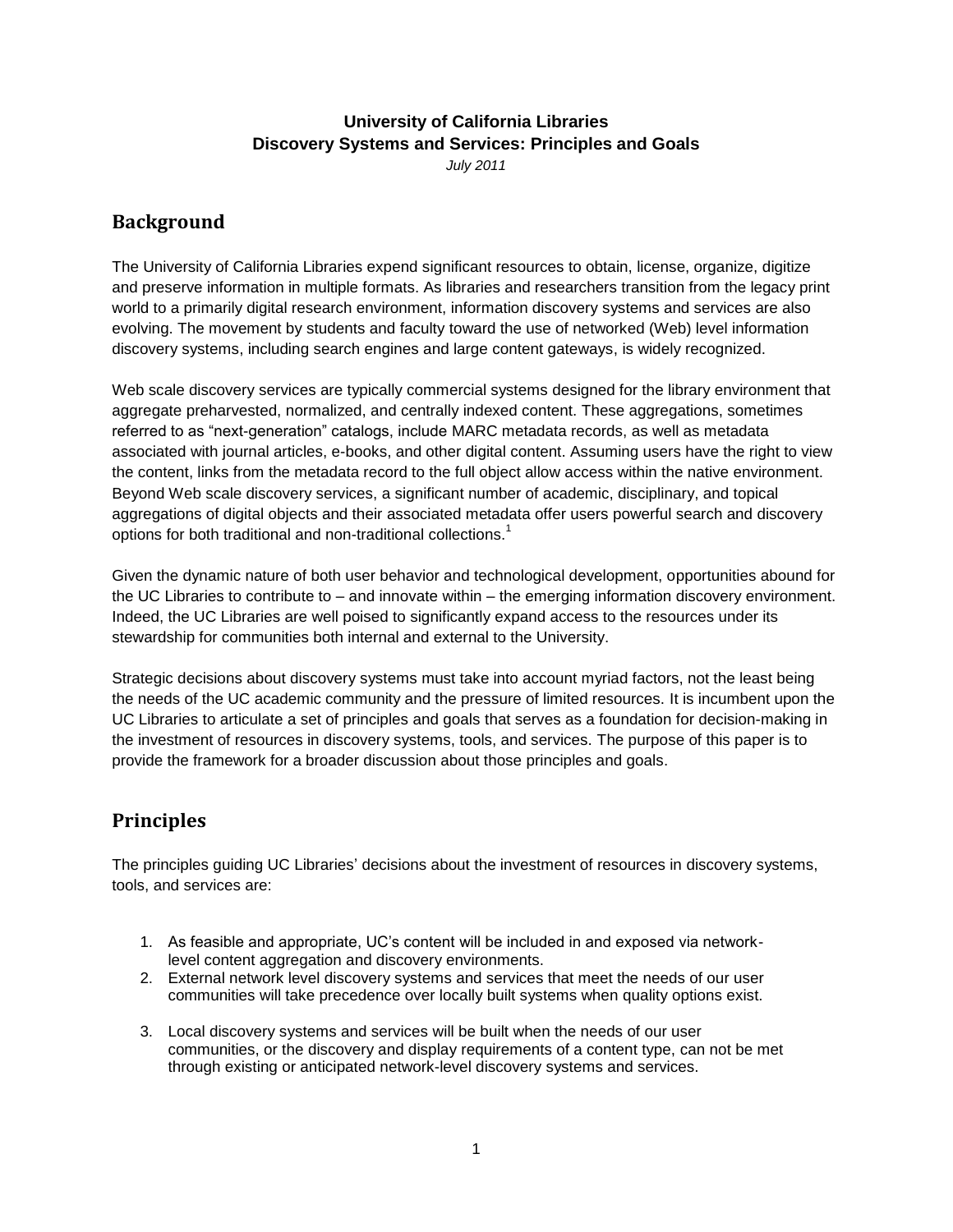## **University of California Libraries Discovery Systems and Services: Principles and Goals**

*July 2011*

## **Background**

The University of California Libraries expend significant resources to obtain, license, organize, digitize and preserve information in multiple formats. As libraries and researchers transition from the legacy print world to a primarily digital research environment, information discovery systems and services are also evolving. The movement by students and faculty toward the use of networked (Web) level information discovery systems, including search engines and large content gateways, is widely recognized.

Web scale discovery services are typically commercial systems designed for the library environment that aggregate preharvested, normalized, and centrally indexed content. These aggregations, sometimes referred to as "next-generation" catalogs, include MARC metadata records, as well as metadata associated with journal articles, e-books, and other digital content. Assuming users have the right to view the content, links from the metadata record to the full object allow access within the native environment. Beyond Web scale discovery services, a significant number of academic, disciplinary, and topical aggregations of digital objects and their associated metadata offer users powerful search and discovery options for both traditional and non-traditional collections.<sup>1</sup>

Given the dynamic nature of both user behavior and technological development, opportunities abound for the UC Libraries to contribute to – and innovate within – the emerging information discovery environment. Indeed, the UC Libraries are well poised to significantly expand access to the resources under its stewardship for communities both internal and external to the University.

Strategic decisions about discovery systems must take into account myriad factors, not the least being the needs of the UC academic community and the pressure of limited resources. It is incumbent upon the UC Libraries to articulate a set of principles and goals that serves as a foundation for decision-making in the investment of resources in discovery systems, tools, and services. The purpose of this paper is to provide the framework for a broader discussion about those principles and goals.

## **Principles**

The principles guiding UC Libraries' decisions about the investment of resources in discovery systems, tools, and services are:

- 1. As feasible and appropriate, UC's content will be included in and exposed via networklevel content aggregation and discovery environments.
- 2. External network level discovery systems and services that meet the needs of our user communities will take precedence over locally built systems when quality options exist.
- 3. Local discovery systems and services will be built when the needs of our user communities, or the discovery and display requirements of a content type, can not be met through existing or anticipated network-level discovery systems and services.